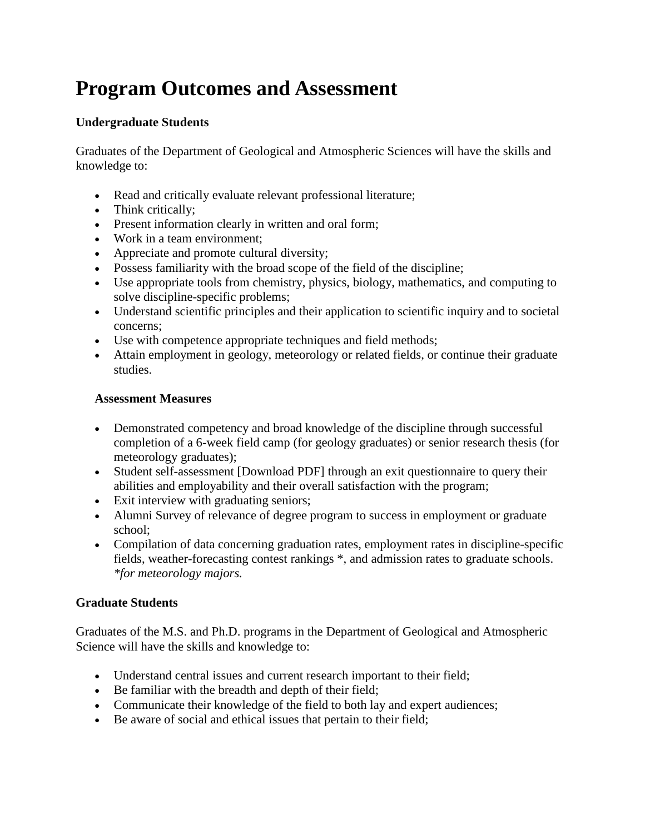# **Program Outcomes and Assessment**

## **Undergraduate Students**

Graduates of the Department of Geological and Atmospheric Sciences will have the skills and knowledge to:

- Read and critically evaluate relevant professional literature;
- Think critically;
- Present information clearly in written and oral form;
- Work in a team environment;
- Appreciate and promote cultural diversity;
- Possess familiarity with the broad scope of the field of the discipline;
- Use appropriate tools from chemistry, physics, biology, mathematics, and computing to solve discipline-specific problems;
- Understand scientific principles and their application to scientific inquiry and to societal concerns;
- Use with competence appropriate techniques and field methods;
- Attain employment in geology, meteorology or related fields, or continue their graduate studies.

#### **Assessment Measures**

- Demonstrated competency and broad knowledge of the discipline through successful completion of a 6-week field camp (for geology graduates) or senior research thesis (for meteorology graduates);
- Student self-assessment [Download PDF] through an exit questionnaire to query their abilities and employability and their overall satisfaction with the program;
- Exit interview with graduating seniors;
- Alumni Survey of relevance of degree program to success in employment or graduate school;
- Compilation of data concerning graduation rates, employment rates in discipline-specific fields, weather-forecasting contest rankings \*, and admission rates to graduate schools. *\*for meteorology majors.*

### **Graduate Students**

Graduates of the M.S. and Ph.D. programs in the Department of Geological and Atmospheric Science will have the skills and knowledge to:

- Understand central issues and current research important to their field;
- Be familiar with the breadth and depth of their field;
- Communicate their knowledge of the field to both lay and expert audiences;
- Be aware of social and ethical issues that pertain to their field;